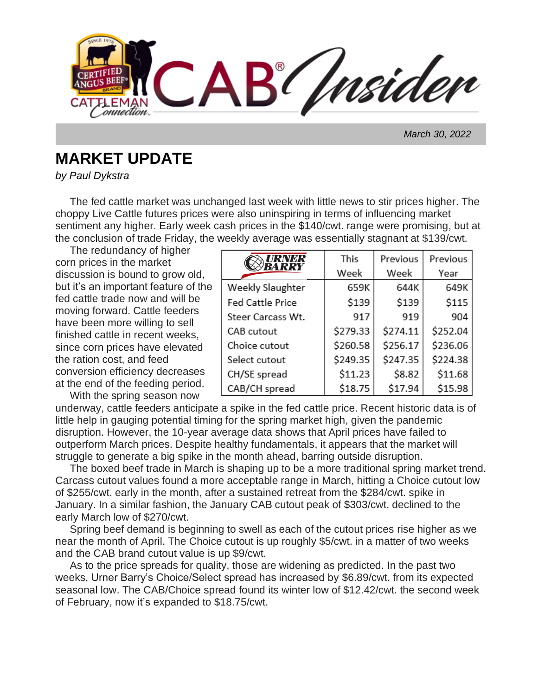B / msiden

 *March 30, 2022*

## **MARKET UPDATE**

*by Paul Dykstra*

The fed cattle market was unchanged last week with little news to stir prices higher. The choppy Live Cattle futures prices were also uninspiring in terms of influencing market sentiment any higher. Early week cash prices in the \$140/cwt. range were promising, but at the conclusion of trade Friday, the weekly average was essentially stagnant at \$139/cwt.

 The redundancy of higher corn prices in the market discussion is bound to grow old, but it's an important feature of the fed cattle trade now and will be moving forward. Cattle feeders have been more willing to sell finished cattle in recent weeks, since corn prices have elevated the ration cost, and feed conversion efficiency decreases at the end of the feeding period. With the spring season now

| RNER                    | This     | Previous | Previous |
|-------------------------|----------|----------|----------|
|                         | Week     | Week     | Year     |
| Weekly Slaughter        | 659K     | 644K     | 649K     |
| <b>Fed Cattle Price</b> | \$139    | \$139    | \$115    |
| Steer Carcass Wt.       | 917      | 919      | 904      |
| CAB cutout              | \$279.33 | \$274.11 | \$252.04 |
| Choice cutout           | \$260.58 | \$256.17 | \$236.06 |
| Select cutout           | \$249.35 | \$247.35 | \$224.38 |
| CH/SE spread            | \$11.23  | \$8.82   | \$11.68  |
| CAB/CH spread           | \$18.75  | \$17.94  | \$15.98  |

underway, cattle feeders anticipate a spike in the fed cattle price. Recent historic data is of little help in gauging potential timing for the spring market high, given the pandemic disruption. However, the 10-year average data shows that April prices have failed to outperform March prices. Despite healthy fundamentals, it appears that the market will struggle to generate a big spike in the month ahead, barring outside disruption.

 The boxed beef trade in March is shaping up to be a more traditional spring market trend. Carcass cutout values found a more acceptable range in March, hitting a Choice cutout low of \$255/cwt. early in the month, after a sustained retreat from the \$284/cwt. spike in January. In a similar fashion, the January CAB cutout peak of \$303/cwt. declined to the early March low of \$270/cwt.

 Spring beef demand is beginning to swell as each of the cutout prices rise higher as we near the month of April. The Choice cutout is up roughly \$5/cwt. in a matter of two weeks and the CAB brand cutout value is up \$9/cwt.

 As to the price spreads for quality, those are widening as predicted. In the past two weeks, Urner Barry's Choice/Select spread has increased by \$6.89/cwt. from its expected seasonal low. The CAB/Choice spread found its winter low of \$12.42/cwt. the second week of February, now it's expanded to \$18.75/cwt.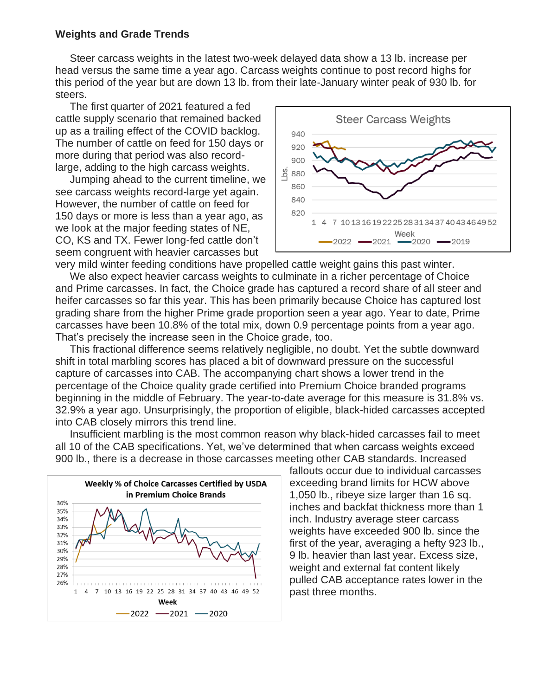## **Weights and Grade Trends**

 Steer carcass weights in the latest two-week delayed data show a 13 lb. increase per head versus the same time a year ago. Carcass weights continue to post record highs for this period of the year but are down 13 lb. from their late-January winter peak of 930 lb. for steers.

 The first quarter of 2021 featured a fed cattle supply scenario that remained backed up as a trailing effect of the COVID backlog. The number of cattle on feed for 150 days or more during that period was also recordlarge, adding to the high carcass weights.

 Jumping ahead to the current timeline, we see carcass weights record-large yet again. However, the number of cattle on feed for 150 days or more is less than a year ago, as we look at the major feeding states of NE, CO, KS and TX. Fewer long-fed cattle don't seem congruent with heavier carcasses but



very mild winter feeding conditions have propelled cattle weight gains this past winter.

 We also expect heavier carcass weights to culminate in a richer percentage of Choice and Prime carcasses. In fact, the Choice grade has captured a record share of all steer and heifer carcasses so far this year. This has been primarily because Choice has captured lost grading share from the higher Prime grade proportion seen a year ago. Year to date, Prime carcasses have been 10.8% of the total mix, down 0.9 percentage points from a year ago. That's precisely the increase seen in the Choice grade, too.

 This fractional difference seems relatively negligible, no doubt. Yet the subtle downward shift in total marbling scores has placed a bit of downward pressure on the successful capture of carcasses into CAB. The accompanying chart shows a lower trend in the percentage of the Choice quality grade certified into Premium Choice branded programs beginning in the middle of February. The year-to-date average for this measure is 31.8% vs. 32.9% a year ago. Unsurprisingly, the proportion of eligible, black-hided carcasses accepted into CAB closely mirrors this trend line.

 Insufficient marbling is the most common reason why black-hided carcasses fail to meet all 10 of the CAB specifications. Yet, we've determined that when carcass weights exceed 900 lb., there is a decrease in those carcasses meeting other CAB standards. Increased



fallouts occur due to individual carcasses exceeding brand limits for HCW above 1,050 lb., ribeye size larger than 16 sq. inches and backfat thickness more than 1 inch. Industry average steer carcass weights have exceeded 900 lb. since the first of the year, averaging a hefty 923 lb., 9 lb. heavier than last year. Excess size, weight and external fat content likely pulled CAB acceptance rates lower in the past three months.